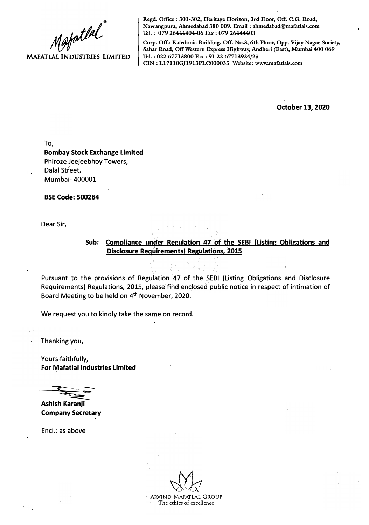Mapatlal **MAFATLAL INDUSTRIES LIMITED** 

**Regd. Office : 301-302, Heritage Horizon, 3rd Floor, Off. C.G. Road, Navrangpura, Ahmedabad 380 009. Email : ahmedabad@mafatlals.com Tel. : 079 26444404-06 Fax : 079 26444403** 

**Corp. Off.: Kaledonia Building, Off. No.3, 6th Floor, Opp. Vijay Nagar Society, Sahar Road, Off Western Express Highway, Andheri (East), Mumbai 400 069 Tel. : 022 67713800 Fax : 91 22 67713924/25 CIN : Ll7110GJ1913PLC000035 Website: www.mafatlals.com** 

**October 13, 2020** 

To,

**Bombay Stock Exchange Limited**  Phiroze Jeejeebhoy Towers, Dalal Street, Mumbai- 400001

**. BSE Code: 500264** 

Dear Sir;

## Sub: Compliance under Regulation 47 of the SEBI (Listing Obligations and **Disclosure Requirements) Regulations, 2015**

Pursuant to the provisions of Regulation 47 of the SEBI {Listing Obligations and Disclosure Requirements) Regulations, 2015, please find enclosed public notice in respect of intimation of Board Meeting to be held on 4<sup>th</sup> November, 2020.

We request you to kindly take the same on record.

Thanking you,

Yours faithfully, **For Mafatlal Industries Limited** 

----=-.,,.�-=-..,,-- **Ashish Karanji** 

**Company Secretary** 

Encl.: as above

ARVIND MAFATLAL GROUP The ethics of excellence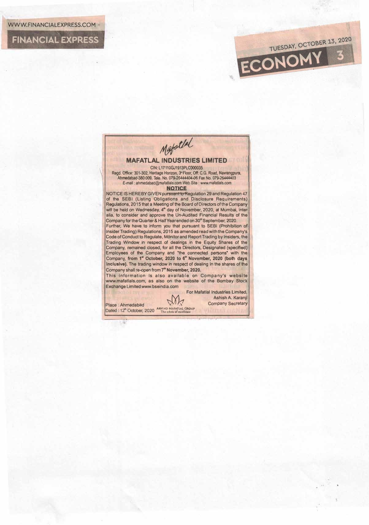**FINANCIAL EXPRESS** 



TUESDAY, OCTOBER 13, 2020

ECONOMY